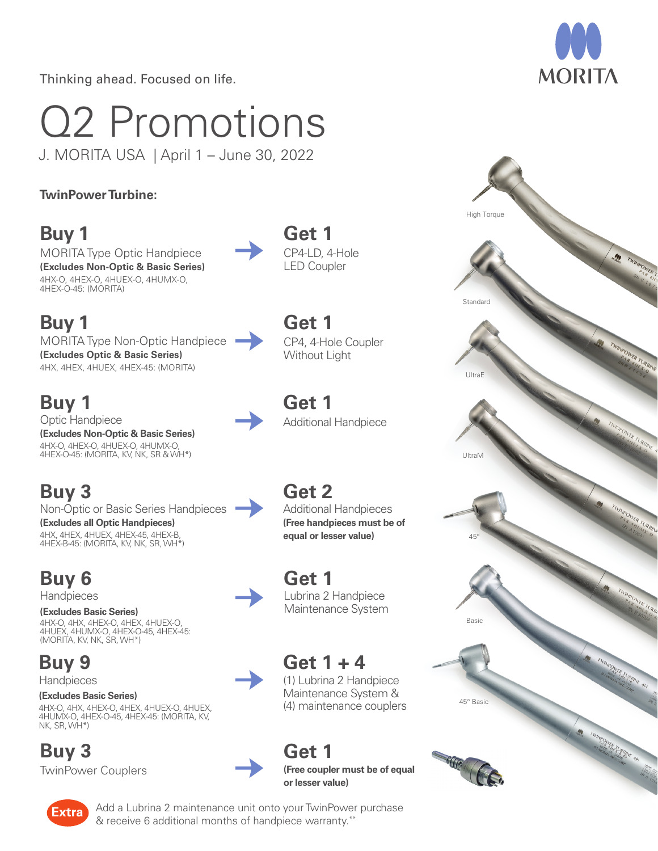Thinking ahead. Focused on life.

# Q2 Promotions

J. MORITA USA | April 1 – June 30, 2022

#### **TwinPower Turbine:**

# **Buy 1**

MORITA Type Optic Handpiece **(Excludes Non-Optic & Basic Series)**  4HX-O, 4HEX-O, 4HUEX-O, 4HUMX-O, 4HEX-O-45: (MORITA)

# **Buy 1**

MORITA Type Non-Optic Handpiece **(Excludes Optic & Basic Series)** 4HX, 4HEX, 4HUEX, 4HEX-45: (MORITA)

# **Buy 1**

Optic Handpiece **(Excludes Non-Optic & Basic Series)** 4HX-O, 4HEX-O, 4HUEX-O, 4HUMX-O, 4HEX-O-45: (MORITA, KV, NK, SR & WH\*)

# **Buy 3**

Non-Optic or Basic Series Handpieces

**(Excludes all Optic Handpieces)** 4HX, 4HEX, 4HUEX, 4HEX-45, 4HEX-B, 4HEX-B-45: (MORITA, KV, NK, SR, WH\*)

# **Buy 6**

**Handpieces** 

**(Excludes Basic Series)** 4HX-O, 4HX, 4HEX-O, 4HEX, 4HUEX-O, 4HUEX, 4HUMX-O, 4HEX-O-45, 4HEX-45: (MORITA, KV, NK, SR, WH\*)

**Buy 9 Handpieces** 

#### **(Excludes Basic Series)** 4HX-O, 4HX, 4HEX-O, 4HEX, 4HUEX-O, 4HUEX, 4HUMX-O, 4HEX-O-45, 4HEX-45: (MORITA, KV, NK, SR, WH\*)

## **Buy 3**

TwinPower Couplers

**Get 1 (Free coupler must be of equal or lesser value)**

**Get 1** 

**Get 1** 

CP4-LD, 4-Hole LED Coupler

**Get 1** 

**Get 1** 

**Get 2** 

Lubrina 2 Handpiece Maintenance System

**Get 1 + 4** 

(1) Lubrina 2 Handpiece Maintenance System & (4) maintenance couplers

CP4, 4-Hole Coupler Without Light

Additional Handpiece

Additional Handpieces **(Free handpieces must be of equal or lesser value)**







Add a Lubrina 2 maintenance unit onto your TwinPower purchase **Extra** Add a Bubling 2 mail tenance dilt onto your twint owe